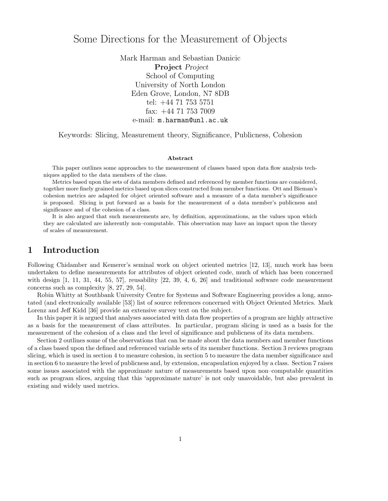# Some Directions for the Measurement of Objects

Mark Harman and Sebastian Danicic Project Project School of Computing University of North London Eden Grove, London, N7 8DB tel: +44 71 753 5751 fax: +44 71 753 7009 e-mail: m.harman@unl.ac.uk

Keywords: Slicing, Measurement theory, Significance, Publicness, Cohesion

#### Abstract

This paper outlines some approaches to the measurement of classes based upon data flow analysis techniques applied to the data members of the class.

Metrics based upon the sets of data members defined and referenced by member functions are considered, together more finely grained metrics based upon slices constructed from member functions. Ott and Bieman's cohesion metrics are adapted for object oriented software and a measure of a data member's significance is proposed. Slicing is put forward as a basis for the measurement of a data member's publicness and significance and of the cohesion of a class.

It is also argued that such measurements are, by definition, approximations, as the values upon which they are calculated are inherently non–computable. This observation may have an impact upon the theory of scales of measurement.

## 1 Introduction

Following Chidamber and Kemerer's seminal work on object oriented metrics [12, 13], much work has been undertaken to define measurements for attributes of object oriented code, much of which has been concerned with design [1, 11, 31, 44, 55, 57], reusability [22, 39, 4, 6, 26] and traditional software code measurement concerns such as complexity [8, 27, 29, 54].

Robin Whitty at Southbank University Centre for Systems and Software Engineering provides a long, annotated (and electronically available [53]) list of source references concerned with Object Oriented Metrics. Mark Lorenz and Jeff Kidd [36] provide an extensive survey text on the subject.

In this paper it is argued that analyses associated with data flow properties of a program are highly attractive as a basis for the measurement of class attributes. In particular, program slicing is used as a basis for the measurement of the cohesion of a class and the level of significance and publicness of its data members.

Section 2 outlines some of the observations that can be made about the data members and member functions of a class based upon the defined and referenced variable sets of its member functions. Section 3 reviews program slicing, which is used in section 4 to measure cohesion, in section 5 to measure the data member significance and in section 6 to measure the level of publicness and, by extension, encapsulation enjoyed by a class. Section 7 raises some issues associated with the approximate nature of measurements based upon non–computable quantities such as program slices, arguing that this 'approximate nature' is not only unavoidable, but also prevalent in existing and widely used metrics.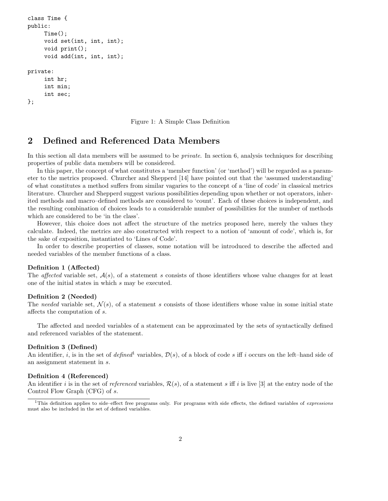```
class Time {
public:
     Time();
     void set(int, int, int);
     void print();
     void add(int, int, int);
private:
     int hr;
     int min;
     int sec;
};
```
Figure 1: A Simple Class Definition

## 2 Defined and Referenced Data Members

In this section all data members will be assumed to be *private*. In section 6, analysis techniques for describing properties of public data members will be considered.

In this paper, the concept of what constitutes a 'member function' (or 'method') will be regarded as a parameter to the metrics proposed. Churcher and Shepperd [14] have pointed out that the 'assumed understanding' of what constitutes a method suffers from similar vagaries to the concept of a 'line of code' in classical metrics literature. Churcher and Shepperd suggest various possibilities depending upon whether or not operators, inherited methods and macro–defined methods are considered to 'count'. Each of these choices is independent, and the resulting combination of choices leads to a considerable number of possibilities for the number of methods which are considered to be 'in the class'.

However, this choice does not affect the structure of the metrics proposed here, merely the values they calculate. Indeed, the metrics are also constructed with respect to a notion of 'amount of code', which is, for the sake of exposition, instantiated to 'Lines of Code'.

In order to describe properties of classes, some notation will be introduced to describe the affected and needed variables of the member functions of a class.

### Definition 1 (Affected)

The *affected* variable set,  $A(s)$ , of a statement s consists of those identifiers whose value changes for at least one of the initial states in which s may be executed.

#### Definition 2 (Needed)

The needed variable set,  $\mathcal{N}(s)$ , of a statement s consists of those identifiers whose value in some initial state affects the computation of s.

The affected and needed variables of a statement can be approximated by the sets of syntactically defined and referenced variables of the statement.

### Definition 3 (Defined)

An identifier, i, is in the set of defined<sup>1</sup> variables,  $\mathcal{D}(s)$ , of a block of code s iff i occurs on the left–hand side of an assignment statement in s.

### Definition 4 (Referenced)

An identifier i is in the set of referenced variables,  $\mathcal{R}(s)$ , of a statement s iff i is live [3] at the entry node of the Control Flow Graph (CFG) of s.

 $1$ This definition applies to side–effect free programs only. For programs with side effects, the defined variables of *expressions* must also be included in the set of defined variables.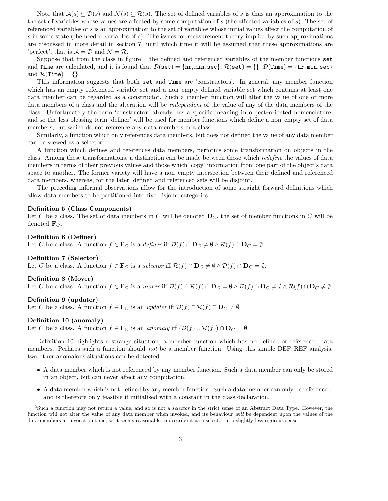Note that  $A(s) \subseteq \mathcal{D}(s)$  and  $\mathcal{N}(s) \subseteq \mathcal{R}(s)$ . The set of defined variables of s is thus an approximation to the the set of variables whose values are affected by some computation of s (the affected variables of s). The set of referenced variables of s is an approximation to the set of variables whose initial values affect the computation of s in some state (the needed variables of s). The issues for measurement theory implied by such approximations are discussed in more detail in section 7, until which time it will be assumed that these approximations are 'perfect', that is  $\mathcal{A} = \mathcal{D}$  and  $\mathcal{N} = \mathcal{R}$ .

Suppose that from the class in figure 1 the defined and referenced variables of the member functions set and Time are calculated, and it is found that  $\mathcal{D}(\texttt{set}) = \{\text{hr}, \texttt{min}, \texttt{sec}\}, \mathcal{R}(\texttt{set}) = \{\}, \mathcal{D}(\texttt{Time}) = \{\text{hr}, \texttt{min}, \texttt{sec}\}$ and  $\mathcal{R}(Time) = \{\}.$ 

This information suggests that both set and Time are 'constructors'. In general, any member function which has an empty referenced variable set and a non–empty defined variable set which contains at least one data member can be regarded as a constructor. Such a member function will alter the value of one or more data members of a class and the alteration will be independent of the value of any of the data members of the class. Unfortunately the term 'constructor' already has a specific meaning in object–oriented nomenclature, and so the less pleasing term 'definer' will be used for member functions which define a non–empty set of data members, but which do not reference any data members in a class.

Similarly, a function which only references data members, but does not defined the value of any data member can be viewed as a selector<sup>2</sup>.

A function which defines and references data members, performs some transformation on objects in the class. Among these transformations, a distinction can be made between those which redefine the values of data members in terms of their previous values and those which 'copy' information from one part of the object's data space to another. The former variety will have a non–empty intersection between their defined and referenced data members, whereas, for the later, defined and referenced sets will be disjoint.

The preceding informal observations allow for the introduction of some straight forward definitions which allow data members to be partitioned into five disjoint categories:

### Definition 5 (Class Components)

Let C be a class. The set of data members in C will be denoted  $D<sub>C</sub>$ , the set of member functions in C will be denoted  $\mathbf{F}_C$ .

#### Definition 6 (Definer)

Let C be a class. A function  $f \in \mathbf{F}_C$  is a definer iff  $\mathcal{D}(f) \cap \mathbf{D}_C \neq \emptyset \wedge \mathcal{R}(f) \cap \mathbf{D}_C = \emptyset$ .

#### Definition 7 (Selector)

Let C be a class. A function  $f \in \mathbf{F}_C$  is a selector iff  $\mathcal{R}(f) \cap \mathbf{D}_C \neq \emptyset \land \mathcal{D}(f) \cap \mathbf{D}_C = \emptyset$ .

#### Definition 8 (Mover)

Let C be a class. A function  $f \in \mathbf{F}_C$  is a mover iff  $\mathcal{D}(f) \cap \mathcal{R}(f) \cap \mathbf{D}_C = \emptyset \wedge \mathcal{D}(f) \cap \mathbf{D}_C \neq \emptyset \wedge \mathcal{R}(f) \cap \mathbf{D}_C \neq \emptyset$ .

#### Definition 9 (updater)

Let C be a class. A function  $f \in \mathbf{F}_C$  is an updater iff  $\mathcal{D}(f) \cap \mathcal{R}(f) \cap \mathbf{D}_C \neq \emptyset$ .

#### Definition 10 (anomaly)

Let C be a class. A function  $f \in \mathbf{F}_C$  is an anomaly iff  $(\mathcal{D}(f) \cup \mathcal{R}(f)) \cap \mathbf{D}_C = \emptyset$ .

Definition 10 highlights a strange situation; a member function which has no defined or referenced data members. Perhaps such a function should *not* be a member function. Using this simple DEF–REF analysis, two other anomalous situations can be detected:

- A data member which is not referenced by any member function. Such a data member can only be stored in an object, but can never affect any computation.
- A data member which is not defined by any member function. Such a data member can only be referenced, and is therefore only feasible if initialised with a constant in the class declaration.

<sup>&</sup>lt;sup>2</sup>Such a function may not return a value, and so is not a *selector* in the strict sense of an Abstract Data Type. However, the function will not alter the value of any data member when invoked, and its behaviour will be dependent upon the values of the data members at invocation time, so it seems reasonable to describe it as a selector in a slightly less rigorous sense.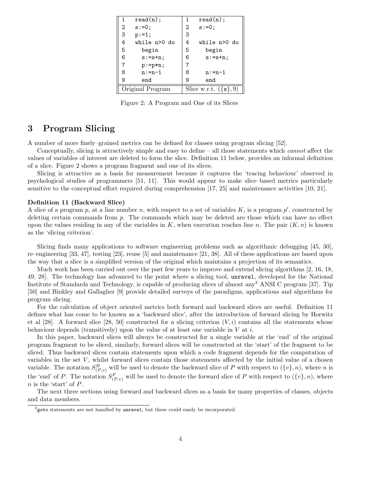| 1                | $read(n)$ :  | $\mathbf{1}$            | $read(n)$ :  |
|------------------|--------------|-------------------------|--------------|
| 2                | $s := 0;$    | 2                       | $s := 0$ ;   |
| 3                | $p := 1;$    | 3                       |              |
| 4                | while n>0 do | 4                       | while n>0 do |
| 5                | begin        | 5                       | begin        |
| 6                | $s:=s+n;$    | 6                       | $s:=s+n;$    |
| 7                | $p:=p*n;$    | 7                       |              |
| 8                | $n: = n - 1$ | 8                       | $n:=n-1$     |
| 9                | end          | 9                       | end          |
| Original Program |              | Slice w.r.t. $({s}, 9)$ |              |

Figure 2: A Program and One of its Slices

## 3 Program Slicing

A number of more finely–grained metrics can be defined for classes using program slicing [52].

Conceptually, slicing is attractively simple and easy to define – all those statements which cannot affect the values of variables of interest are deleted to form the slice. Definition 11 below, provides an informal definition of a slice. Figure 2 shows a program fragment and one of its slices.

Slicing is attractive as a basis for measurement because it captures the 'tracing behaviour' observed in psychological studies of programmers [51, 11]. This would appear to make slice–based metrics particularly sensitive to the conceptual effort required during comprehension [17, 25] and maintenance activities [10, 21].

### Definition 11 (Backward Slice)

A slice of a program p, at a line number n, with respect to a set of variables  $K$ , is a program  $p'$ , constructed by deleting certain commands from p. The commands which may be deleted are those which can have no effect upon the values residing in any of the variables in K, when execution reaches line n. The pair  $(K, n)$  is known as the 'slicing criterion'.

Slicing finds many applications to software engineering problems such as algorithmic debugging [45, 30], re–engineering [33, 47], testing [23], reuse [5] and maintenance [21, 38]. All of these applications are based upon the way that a slice is a simplified version of the original which maintains a projection of its semantics.

Much work has been carried out over the past few years to improve and extend slicing algorithms [2, 16, 18, 49, 28]. The technology has advanced to the point where a slicing tool, unravel, developed for the National Institute of Standards and Technology, is capable of producing slices of almost any<sup>3</sup> ANSI C program [37]. Tip [50] and Binkley and Gallagher [9] provide detailed surveys of the paradigms, applications and algorithms for program slicing.

For the calculation of object oriented metrics both forward and backward slices are useful. Definition 11 defines what has come to be known as a 'backward slice', after the introduction of forward slicing by Horwitz et al [28]. A forward slice [28, 50] constructed for a slicing criterion  $(V, i)$  contains all the statements whose behaviour depends (transitively) upon the value of at least one variable in  $V$  at  $i$ .

In this paper, backward slices will always be constructed for a single variable at the 'end' of the original program fragment to be sliced, similarly, forward slices will be constructed at the 'start' of the fragment to be sliced. Thus backward slices contain statements upon which a code fragment depends for the computation of variables in the set  $V$ , whilst forward slices contain those statements affected by the initial value of a chosen variable. The notation  $S_{(P,v)}^B$  will be used to denote the backward slice of P with respect to  $(\{v\}, n)$ , where n is the 'end' of P. The notation  $S_{(P,v)}^F$  will be used to denote the forward slice of P with respect to  $(\{v\}, n)$ , where n is the 'start' of P.

The next three sections using forward and backward slices as a basis for many properties of classes, objects and data members.

<sup>&</sup>lt;sup>3</sup>goto statements are not handled by unravel, but these could easily be incorporated.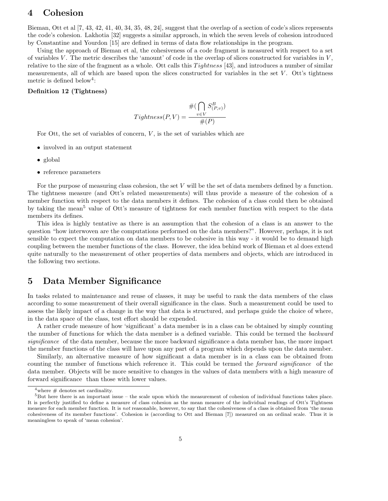## 4 Cohesion

Bieman, Ott et al [7, 43, 42, 41, 40, 34, 35, 48, 24], suggest that the overlap of a section of code's slices represents the code's cohesion. Lakhotia [32] suggests a similar approach, in which the seven levels of cohesion introduced by Constantine and Yourdon [15] are defined in terms of data flow relationships in the program.

Using the approach of Bieman et al, the cohesiveness of a code fragment is measured with respect to a set of variables V. The metric describes the 'amount' of code in the overlap of slices constructed for variables in  $V$ , relative to the size of the fragment as a whole. Ott calls this Tightness [43], and introduces a number of similar measurements, all of which are based upon the slices constructed for variables in the set  $V$ . Ott's tightness metric is defined below<sup>4</sup>:

### Definition 12 (Tightness)

$$
Tighthess(P, V) = \frac{\#(\bigcap_{v \in V} S_{(P, v)}^B)}{\#(P)}
$$

For Ott, the set of variables of concern,  $V$ , is the set of variables which are

- involved in an output statement
- global
- reference parameters

For the purpose of measuring class cohesion, the set V will be the set of data members defined by a function. The tightness measure (and Ott's related measurements) will thus provide a measure of the cohesion of a member function with respect to the data members it defines. The cohesion of a class could then be obtained by taking the mean<sup>5</sup> value of Ott's measure of tightness for each member function with respect to the data members its defines.

This idea is highly tentative as there is an assumption that the cohesion of a class is an answer to the question "how interwoven are the computations performed on the data members?". However, perhaps, it is not sensible to expect the computation on data members to be cohesive in this way - it would be to demand high coupling between the member functions of the class. However, the idea behind work of Bieman et al does extend quite naturally to the measurement of other properties of data members and objects, which are introduced in the following two sections.

## 5 Data Member Significance

In tasks related to maintenance and reuse of classes, it may be useful to rank the data members of the class according to some measurement of their overall significance in the class. Such a measurement could be used to assess the likely impact of a change in the way that data is structured, and perhaps guide the choice of where, in the data space of the class, test effort should be expended.

A rather crude measure of how 'significant' a data member is in a class can be obtained by simply counting the number of functions for which the data member is a defined variable. This could be termed the backward significance of the data member, because the more backward significance a data member has, the more impact the member functions of the class will have upon any part of a program which depends upon the data member.

Similarly, an alternative measure of how significant a data member is in a class can be obtained from counting the number of functions which reference it. This could be termed the *forward significance* of the data member. Objects will be more sensitive to changes in the values of data members with a high measure of forward significance than those with lower values.

 $4$ where  $\#$  denotes set cardinality.

 $5$ But here there is an important issue – the scale upon which the measurement of cohesion of individual functions takes place. It is perfectly justified to define a measure of class cohesion as the mean measure of the individual readings of Ott's Tightness measure for each member function. It is *not* reasonable, however, to say that the cohesiveness of a class is obtained from 'the mean cohesiveness of its member functions'. Cohesion is (according to Ott and Bieman [7]) measured on an ordinal scale. Thus it is meaningless to speak of 'mean cohesion'.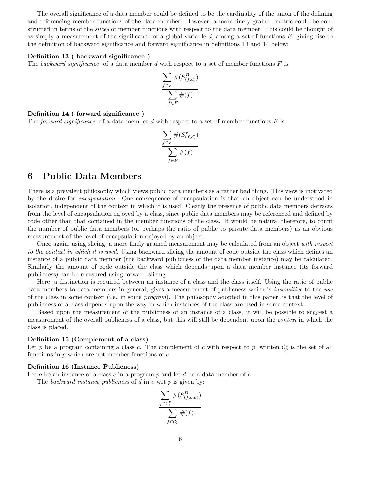The overall significance of a data member could be defined to be the cardinality of the union of the defining and referencing member functions of the data member. However, a more finely grained metric could be constructed in terms of the slices of member functions with respect to the data member. This could be thought of as simply a measurement of the significance of a global variable  $d$ , among a set of functions  $F$ , giving rise to the definition of backward significance and forward significance in definitions 13 and 14 below:

#### Definition 13 ( backward significance )

The backward significance of a data member d with respect to a set of member functions  $F$  is

$$
\frac{\sum_{f \in F} \#(S_{(f,d)}^B)}{\sum_{f \in F} \#(f)}
$$

### Definition 14 ( forward significance )

The forward significance of a data member d with respect to a set of member functions  $F$  is

$$
\frac{\sum_{f \in F} \#(S_{(f,d)}^F)}{\sum_{f \in F} \#(f)}
$$

## 6 Public Data Members

There is a prevalent philosophy which views public data members as a rather bad thing. This view is motivated by the desire for encapsulation. One consequence of encapsulation is that an object can be understood in isolation, independent of the context in which it is used. Clearly the presence of public data members detracts from the level of encapsulation enjoyed by a class, since public data members may be referenced and defined by code other than that contained in the member functions of the class. It would be natural therefore, to count the number of public data members (or perhaps the ratio of public to private data members) as an obvious measurement of the level of encapsulation enjoyed by an object.

Once again, using slicing, a more finely grained measurement may be calculated from an object with respect to the context in which it is used. Using backward slicing the amount of code outside the class which defines an instance of a public data member (the backward publicness of the data member instance) may be calculated. Similarly the amount of code outside the class which depends upon a data member instance (its forward publicness) can be measured using forward slicing.

Here, a distinction is required between an instance of a class and the class itself. Using the ratio of public data members to data members in general, gives a measurement of publicness which is *insensitive* to the use of the class in some context (i.e. in some program). The philosophy adopted in this paper, is that the level of publicness of a class depends upon the way in which instances of the class are used in some context.

Based upon the measurement of the publicness of an instance of a class, it will be possible to suggest a measurement of the overall publicness of a class, but this will still be dependent upon the *context* in which the class is placed.

#### Definition 15 (Complement of a class)

Let p be a program containing a class c. The complement of c with respect to p, written  $\mathcal{C}_p^c$  is the set of all functions in  $p$  which are not member functions of  $c$ .

#### Definition 16 (Instance Publicness)

Let  $o$  be an instance of a class  $c$  in a program  $p$  and let  $d$  be a data member of  $c$ .

The backward instance publicness of  $d$  in  $o$  wrt  $p$  is given by:

$$
\frac{\sum_{f \in \mathcal{C}_c^P} \#(S_{(f,o.d)}^B)}{\sum_{f \in \mathcal{C}_c^P} \#(f)}
$$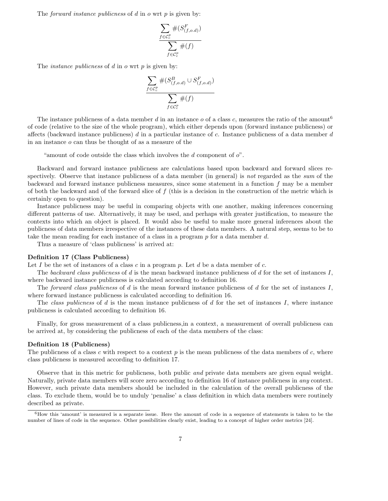The *forward instance publicness* of  $d$  in  $o$  wrt  $p$  is given by:

$$
\frac{\sum_{f \in \mathcal{C}_c^P} \#(S_{(f,o.d)}^F)}{\sum_{f \in \mathcal{C}_c^P} \#(f)}
$$

The *instance publicness* of  $d$  in  $o$  wrt  $p$  is given by:

$$
\frac{\sum_{f \in \mathcal{C}_c^p} \#(S_{(f,o.d)}^B \cup S_{(f,o.d)}^F)}{\sum_{f \in \mathcal{C}_c^p} \#(f)}
$$

The instance publicness of a data member d in an instance o of a class c, measures the ratio of the amount<sup>6</sup> of code (relative to the size of the whole program), which either depends upon (forward instance publicness) or affects (backward instance publicness)  $d$  in a particular instance of  $c$ . Instance publicness of a data member  $d$ in an instance o can thus be thought of as a measure of the

"amount of code outside the class which involves the  $d$  component of  $o$ ".

Backward and forward instance publicness are calculations based upon backward and forward slices respectively. Observe that instance publicness of a data member (in general) is not regarded as the sum of the backward and forward instance publicness measures, since some statement in a function f may be a member of both the backward and of the forward slice of  $f$  (this is a decision in the construction of the metric which is certainly open to question).

Instance publicness may be useful in comparing objects with one another, making inferences concerning different patterns of use. Alternatively, it may be used, and perhaps with greater justification, to measure the contexts into which an object is placed. It would also be useful to make more general inferences about the publicness of data members irrespective of the instances of these data members. A natural step, seems to be to take the mean reading for each instance of a class in a program p for a data member d.

Thus a measure of 'class publicness' is arrived at:

### Definition 17 (Class Publicness)

Let I be the set of instances of a class c in a program p. Let  $d$  be a data member of c.

The backward class publicness of d is the mean backward instance publicness of d for the set of instances I, where backward instance publicness is calculated according to definition 16.

The forward class publicness of d is the mean forward instance publicness of d for the set of instances  $I$ , where forward instance publicness is calculated according to definition 16.

The class publicness of d is the mean instance publicness of d for the set of instances  $I$ , where instance publicness is calculated according to definition 16.

Finally, for gross measurement of a class publicness,in a context, a measurement of overall publicness can be arrived at, by considering the publicness of each of the data members of the class:

### Definition 18 (Publicness)

The publicness of a class c with respect to a context  $p$  is the mean publicness of the data members of c, where class publicness is measured according to definition 17.

Observe that in this metric for publicness, both public *and* private data members are given equal weight. Naturally, private data members will score zero according to definition 16 of instance publicness in any context. However, such private data members should be included in the calculation of the overall publicness of the class. To exclude them, would be to unduly 'penalise' a class definition in which data members were routinely described as private.

 $6$ How this 'amount' is measured is a separate issue. Here the amount of code in a sequence of statements is taken to be the number of lines of code in the sequence. Other possibilities clearly exist, leading to a concept of higher order metrics [24].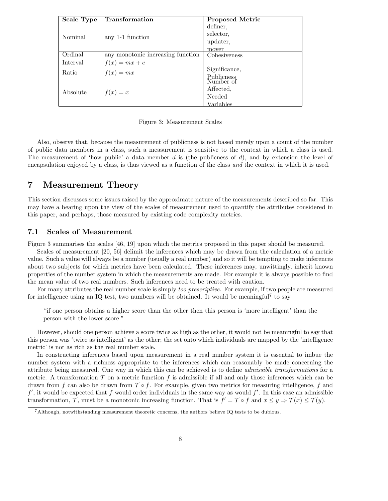| Scale Type | <b>Transformation</b>             | <b>Proposed Metric</b> |
|------------|-----------------------------------|------------------------|
|            | any 1-1 function                  | definer,               |
| Nominal    |                                   | selector,              |
|            |                                   | updater,               |
|            |                                   | mover                  |
| Ordinal    | any monotonic increasing function | Cohesiveness           |
| Interval   | $f(x) = mx + c$                   |                        |
| Ratio      | $f(x) = mx$                       | Significance,          |
|            |                                   | <b>Publicness</b>      |
|            | $f(x) = x$                        | Number of              |
| Absolute   |                                   | Affected.              |
|            |                                   | Needed                 |
|            |                                   | Variables              |

Figure 3: Measurement Scales

Also, observe that, because the measurement of publicness is not based merely upon a count of the number of public data members in a class, such a measurement is sensitive to the context in which a class is used. The measurement of 'how public' a data member  $d$  is (the publicness of  $d$ ), and by extension the level of encapsulation enjoyed by a class, is thus viewed as a function of the class and the context in which it is used.

## 7 Measurement Theory

This section discusses some issues raised by the approximate nature of the measurements described so far. This may have a bearing upon the view of the scales of measurement used to quantify the attributes considered in this paper, and perhaps, those measured by existing code complexity metrics.

## 7.1 Scales of Measurement

Figure 3 summarises the scales [46, 19] upon which the metrics proposed in this paper should be measured.

Scales of measurement [20, 56] delimit the inferences which may be drawn from the calculation of a metric value. Such a value will always be a number (usually a real number) and so it will be tempting to make inferences about two subjects for which metrics have been calculated. These inferences may, unwittingly, inherit known properties of the number system in which the measurements are made. For example it is always possible to find the mean value of two real numbers. Such inferences need to be treated with caution.

For many attributes the real number scale is simply too prescriptive. For example, if two people are measured for intelligence using an IQ test, two numbers will be obtained. It would be meaningful<sup>7</sup> to say

"if one person obtains a higher score than the other then this person is 'more intelligent' than the person with the lower score."

However, should one person achieve a score twice as high as the other, it would not be meaningful to say that this person was 'twice as intelligent' as the other; the set onto which individuals are mapped by the 'intelligence metric' is not as rich as the real number scale.

In constructing inferences based upon measurement in a real number system it is essential to imbue the number system with a richness appropriate to the inferences which can reasonably be made concerning the attribute being measured. One way in which this can be achieved is to define admissible transformations for a metric. A transformation  $\mathcal T$  on a metric function f is admissible if all and only those inferences which can be drawn from f can also be drawn from  $\mathcal{T} \circ f$ . For example, given two metrics for measuring intelligence, f and  $f'$ , it would be expected that f would order individuals in the same way as would  $f'$ . In this case an admissible transformation, T, must be a monotonic increasing function. That is  $f' = \mathcal{T} \circ f$  and  $x \leq y \Rightarrow \mathcal{T}(x) \leq \mathcal{T}(y)$ .

<sup>7</sup>Although, notwithstanding measurement theoretic concerns, the authors believe IQ tests to be dubious.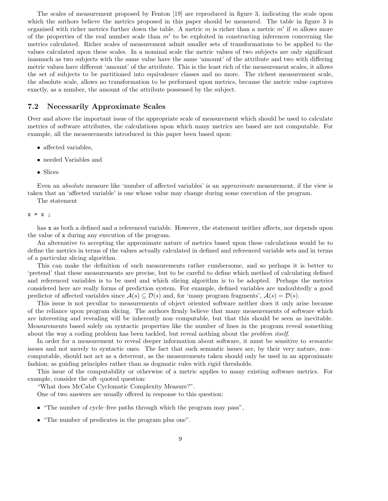The scales of measurement proposed by Fenton [19] are reproduced in figure 3, indicating the scale upon which the authors believe the metrics proposed in this paper should be measured. The table in figure 3 is organised with richer metrics further down the table. A metric  $m$  is richer than a metric  $m'$  if  $m$  allows more of the properties of the real number scale than  $m'$  to be exploited in constructing inferences concerning the metrics calculated. Richer scales of measurement admit smaller sets of transformations to be applied to the values calculated upon these scales. In a nominal scale the metric values of two subjects are only significant inasmuch as two subjects with the same value have the same 'amount' of the attribute and two with differing metric values have different 'amount' of the attribute. This is the least rich of the measurement scales, it allows the set of subjects to be partitioned into equivalence classes and no more. The richest measurement scale, the absolute scale, allows no transformation to be performed upon metrics, because the metric value captures exactly, as a number, the amount of the attribute possessed by the subject.

## 7.2 Necessarily Approximate Scales

Over and above the important issue of the appropriate scale of measurement which should be used to calculate metrics of software attributes, the calculations upon which many metrics are based are not computable. For example, all the measurements introduced in this paper been based upon:

- affected variables,
- needed Variables and
- Slices

Even an absolute measure like 'number of affected variables' is an approximate measurement, if the view is taken that an 'affected variable' is one whose value may change during some execution of the program.

The statement

#### $x = x$ ;

has x as both a defined and a referenced variable. However, the statement neither affects, nor depends upon the value of x during any execution of the program.

An alternative to accepting the approximate nature of metrics based upon these calculations would be to define the metrics in terms of the values actually calculated in defined and referenced variable sets and in terms of a particular slicing algorithm.

This can make the definition of such measurements rather cumbersome, and so perhaps it is better to 'pretend' that these measurements are precise, but to be careful to define which method of calculating defined and referenced variables is to be used and which slicing algorithm is to be adopted. Perhaps the metrics considered here are really forms of prediction system. For example, defined variables are undoubtedly a good predictor of affected variables since  $\mathcal{A}(s) \subseteq \mathcal{D}(s)$  and, for 'many program fragments',  $\mathcal{A}(s) = \mathcal{D}(s)$ .

This issue is not peculiar to measurements of object oriented software neither does it only arise because of the reliance upon program slicing. The authors firmly believe that many measurements of software which are interesting and revealing will be inherently non–computable, but that this should be seen as inevitable. Measurements based solely on syntactic properties like the number of lines in the program reveal something about the way a coding problem has been tackled, but reveal nothing about the problem itself.

In order for a measurement to reveal deeper information about software, it must be sensitive to *semantic* issues and not merely to syntactic ones. The fact that such semantic issues are, by their very nature, non– computable, should not act as a deterrent, as the measurements taken should only be used in an approximate fashion; as guiding principles rather than as dogmatic rules with rigid thresholds.

This issue of the computability or otherwise of a metric applies to many existing software metrics. For example, consider the oft–quoted question:

"What does McCabe Cyclomatic Complexity Measure?".

One of two answers are usually offered in response to this question:

- "The number of cycle–free paths through which the program may pass",
- "The number of predicates in the program plus one".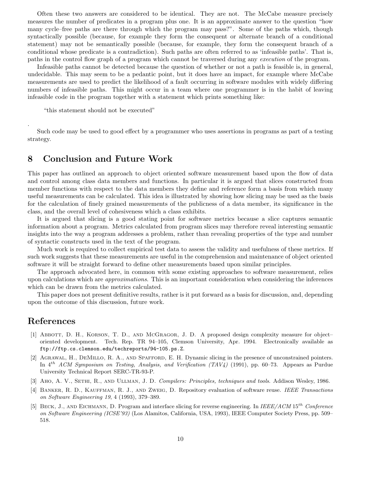Often these two answers are considered to be identical. They are not. The McCabe measure precisely measures the number of predicates in a program plus one. It is an approximate answer to the question "how many cycle–free paths are there through which the program may pass?". Some of the paths which, though syntactically possible (because, for example they form the consequent or alternate branch of a conditional statement) may not be semantically possible (because, for example, they form the consequent branch of a conditional whose predicate is a contradiction). Such paths are often referred to as 'infeasible paths'. That is, paths in the control flow graph of a program which cannot be traversed during any execution of the program.

Infeasible paths cannot be detected because the question of whether or not a path is feasible is, in general, undecidable. This may seem to be a pedantic point, but it does have an impact, for example where McCabe measurements are used to predict the likelihood of a fault occurring in software modules with widely differing numbers of infeasible paths. This might occur in a team where one programmer is in the habit of leaving infeasible code in the program together with a statement which prints something like:

"this statement should not be executed"

Such code may be used to good effect by a programmer who uses assertions in programs as part of a testing strategy.

## 8 Conclusion and Future Work

This paper has outlined an approach to object oriented software measurement based upon the flow of data and control among class data members and functions. In particular it is argued that slices constructed from member functions with respect to the data members they define and reference form a basis from which many useful measurements can be calculated. This idea is illustrated by showing how slicing may be used as the basis for the calculation of finely grained measurements of the publicness of a data member, its significance in the class, and the overall level of cohesiveness which a class exhibits.

It is argued that slicing is a good stating point for software metrics because a slice captures semantic information about a program. Metrics calculated from program slices may therefore reveal interesting semantic insights into the way a program addresses a problem, rather than revealing properties of the type and number of syntactic constructs used in the text of the program.

Much work is required to collect empirical test data to assess the validity and usefulness of these metrics. If such work suggests that these measurements are useful in the comprehension and maintenance of object oriented software it will be straight forward to define other measurements based upon similar principles.

The approach advocated here, in common with some existing approaches to software measurement, relies upon calculations which are approximations. This is an important consideration when considering the inferences which can be drawn from the metrics calculated.

This paper does not present definitive results, rather is it put forward as a basis for discussion, and, depending upon the outcome of this discussion, future work.

## References

.

- [1] Abbott, D. H., Korson, T. D., and McGragor, J. D. A proposed design complexity measure for object– oriented development. Tech. Rep. TR 94–105, Clemson University, Apr. 1994. Electronically available as ftp://ftp.cs.clemson.edu/techreports/94-105.ps.Z.
- [2] Agrawal, H., DeMillo, R. A., and Spafford, E. H. Dynamic slicing in the presence of unconstrained pointers. In  $4^{th}$  ACM Symposium on Testing, Analysis, and Verification (TAV4) (1991), pp. 60–73. Appears as Purdue University Technical Report SERC-TR-93-P.
- [3] AHO, A. V., SETHI, R., AND ULLMAN, J. D. Compilers: Principles, techniques and tools. Addison Wesley, 1986.
- [4] Banker, R. D., Kauffman, R. J., and Zweig, D. Repository evaluation of software reuse. IEEE Transactions on Software Engineering 19, 4 (1993), 379–389.
- [5] BECK, J., AND EICHMANN, D. Program and interface slicing for reverse engineering. In IEEE/ACM 15<sup>th</sup> Conference on Software Engineering (ICSE'93) (Los Alamitos, California, USA, 1993), IEEE Computer Society Press, pp. 509– 518.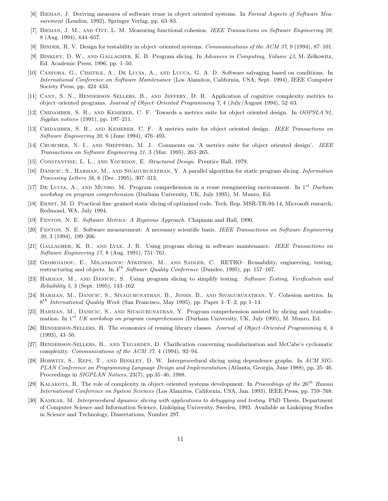- [6] BIEMAN, J. Deriving measures of software reuse in object oriented systems. In Formal Aspects of Software Measurement (London, 1992), Springer Verlag, pp. 63–83.
- [7] BIEMAN, J. M., AND OTT, L. M. Measuring functional cohesion. IEEE Transactions on Software Engineering 20, 8 (Aug. 1994), 644–657.
- [8] BINDER, R. V. Design for testability in object–oriented systems. Communications of the ACM 37, 9 (1994), 87–101.
- [9] Binkley, D. W., and Gallagher, K. B. Program slicing. In Advances in Computing, Volume 43, M. Zelkowitz, Ed. Academic Press, 1996, pp. 1–50.
- [10] Canfora, G., Cimitile, A., De Lucia, A., and Lucca, G. A. D. Software salvaging based on conditions. In International Conference on Software Maintenance (Los Alamitos, California, USA, Sept. 1994), IEEE Computer Society Press, pp. 424–433.
- [11] Cant, S. N., Henderson–Sellers, B., and Jeffery, D. R. Application of cognitive complexity metrics to object–oriented programs. Journal of Object–Oriented Programming 7, 4 (July/August 1994), 52–63.
- [12] Chidamber, S. R., and Kemerer, C. F. Towards a metrics suite for object oriented design. In OOPSLA'91, Sigplan notices (1991), pp. 197–211.
- [13] CHIDAMBER, S. R., AND KEMERER, C. F. A metrics suite for object oriented design. IEEE Transactions on Software Engineering 20, 6 (June 1994), 476–493.
- [14] CHURCHER, N. I., AND SHEPPERD, M. J. Comments on 'A metrics suite for object oriented design'. IEEE Transactions on Software Engineering 21, 3 (Mar. 1995), 263–265.
- [15] CONSTANTINE, L. L., AND YOURDON, E. Structured Design. Prentice Hall, 1979.
- [16] Danicic, S., Harman, M., and Sivagurunathan, Y. A parallel algorithm for static program slicing. Information Processing Letters 56, 6 (Dec. 1995), 307–313.
- [17] DE LUCIA, A., AND MUNRO, M. Program comprehension in a reuse reengineering environment. In  $1^{st}$  Durham workshop on program comprehension (Durham University, UK, July 1995), M. Munro, Ed.
- [18] Ernst, M. D. Practical fine–grained static slicing of optimised code. Tech. Rep. MSR-TR-94-14, Microsoft research, Redmond, WA, July 1994.
- [19] Fenton, N. E. Software Metrics: A Rigorous Approach. Chapman and Hall, 1990.
- [20] Fenton, N. E. Software measurement: A necessary scientific basis. IEEE Transactions on Software Engineering 20, 3 (1994), 199–206.
- [21] Gallagher, K. B., and Lyle, J. R. Using program slicing in software maintenance. IEEE Transactions on Software Engineering 17, 8 (Aug. 1991), 751–761.
- [22] Georgiadou, E., Milankovic–Atkinson, M., and Sadler, C. RETRO– Reusability, engineering, testing, restructuring and objects. In  $4^{th}$  Software Quality Conference (Dundee, 1995), pp. 157–167.
- [23] Harman, M., and Danicic, S. Using program slicing to simplify testing. Software Testing, Verification and Reliability 5, 3 (Sept. 1995), 143–162.
- [24] Harman, M., Danicic, S., Sivagurunathan, B., Jones, B., and Sivagurunathan, Y. Cohesion metrics. In  $8^{th}$  International Quality Week (San Francisco, May 1995), pp. Paper 3–T–2, pp 1–14.
- [25] Harman, M., Danicic, S., and Sivagurunathan, Y. Program comprehension assisted by slicing and transformation. In  $1^{st}$  UK workshop on program comprehension (Durham University, UK, July 1995), M. Munro, Ed.
- [26] HENDERSON-SELLERS, B. The economics of reusing library classes. Journal of Object–Oriented Programming 6, 4 (1993), 43–50.
- [27] Henderson-Sellers, B., and Tegarden, D. Clarification concerning modularization and McCabe's cyclomatic complexity. Communications of the ACM 37, 4 (1994), 92–94.
- [28] Horwitz, S., Reps, T., and Binkley, D. W. Interprocedural slicing using dependence graphs. In ACM SIG-PLAN Conference on Programming Language Design and Implementation (Atlanta, Georgia, June 1988), pp. 25–46. Proceedings in SIGPLAN Notices, 23(7), pp.35–46, 1988.
- [29] KALAKOTA, R. The role of complexity in object–oriented systems development. In Proceedings of the  $26<sup>th</sup>$  Hawaii International Conference on System Sciences (Los Alamitos, California, USA, Jan. 1993), IEEE Press, pp. 759–768.
- [30] KAMKAR, M. Interprocedural dynamic slicing with applications to debugging and testing. PhD Thesis, Department of Computer Science and Information Science, Linköping University, Sweden, 1993. Available as Linköping Studies in Science and Technology, Dissertations, Number 297.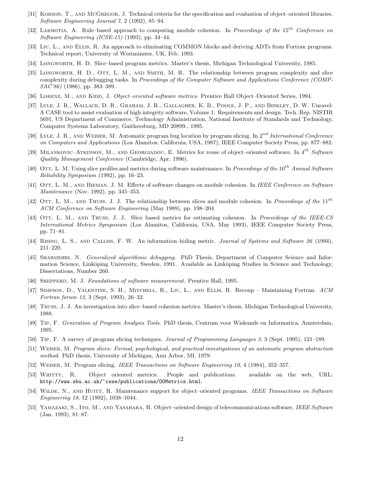- [31] Korson, T., and McGregor, J. Technical criteria for the specification and evaluation of object–oriented libraries. Software Engineering Journal 7, 2 (1992), 85–94.
- [32] LAKHOTIA, A. Rule–based approach to computing module cohesion. In Proceedings of the 15<sup>th</sup> Conference on Software Engineering (ICSE-15) (1993), pp. 34–44.
- [33] Liu, L., and Ellis, R. An approach to eliminating COMMON blocks and deriving ADTs from Fortran programs. Technical report, University of Westminster, UK, Feb. 1993.
- [34] Longworth, H. D. Slice–based program metrics. Master's thesis, Michigan Technological University, 1985.
- [35] LONGWORTH, H. D., OTT, L. M., AND SMITH, M. R. The relationship between program complexity and slice complexity during debugging tasks. In Proceedings of the Computer Software and Applications Conference (COMP-SAC'86) (1986), pp. 383–389.
- [36] LORENZ, M., AND KIDD, J. Object–oriented software metrics. Prentice Hall Object–Oriented Series, 1994.
- [37] Lyle, J. R., Wallace, D. R., Graham, J. R., Gallagher, K. B., Poole, J. P., and Binkley, D. W. Unravel: A CASE tool to assist evaluation of high integrity software, Volume 1: Requirements and design. Tech. Rep. NISTIR 5691, US Department of Commerce, Technology Administration, National Institute of Standards and Technology, Computer Systems Laboratory, Gaithersburg, MD 20899., 1995.
- [38] LYLE, J. R., AND WEISER, M. Automatic program bug location by program slicing. In  $2^{nd}$  International Conference on Computers and Applications (Los Alamitos, California, USA, 1987), IEEE Computer Society Press, pp. 877–882.
- [39] MILANKOVIC–ATKINSON, M., AND GEORGIADOU, E. Metrics for reuse of object–oriented software. In  $4^{th}$  Software Quality Management Conference (Cambridge, Apr. 1996).
- [40] OTT, L. M. Using slice profiles and metrics during software maintenance. In Proceedings of the  $10^{th}$  Annual Software Reliability Symposium (1992), pp. 16–23.
- [41] OTT, L. M., AND BIEMAN, J. M. Effects of software changes on module cohesion. In IEEE Conference on Software Maintenance (Nov. 1992), pp. 345–353.
- [42] OTT, L. M., AND THUSS, J. J. The relationship between slices and module cohesion. In Proceedings of the  $11^{th}$ ACM Conference on Software Engineering (May 1989), pp. 198–204.
- [43] OTT, L. M., AND THUSS, J. J. Slice based metrics for estimating cohesion. In Proceedings of the IEEE-CS International Metrics Symposium (Los Alamitos, California, USA, May 1993), IEEE Computer Society Press, pp. 71–81.
- [44] Rising, L. S., and Calliss, F. W. An information–hiding metric. Journal of Systems and Software 26 (1994), 211–220.
- [45] SHAHMEHRI, N. Generalized algorithmic debugging. PhD Thesis, Department of Computer Science and Information Science, Linköping University, Sweden, 1991. Available as Linköping Studies in Science and Technology, Dissertations, Number 260.
- [46] SHEPPERD, M. J. Foundations of software measurement. Prentice Hall, 1995.
- [47] Simpson, D., Valentine, S. H., Mitchell, R., Liu, L., and Ellis, R. Recoup Maintaining Fortran. ACM Fortran forum 12, 3 (Sept. 1993), 26–32.
- [48] Thuss, J. J. An investigation into slice–based cohesion metrics. Master's thesis, Michigan Technological University, 1988.
- [49] Tip, F. Generation of Program Analysis Tools. PhD thesis, Centrum voor Wiskunde en Informatica, Amsterdam, 1995.
- [50] Tip, F. A survey of program slicing techniques. Journal of Programming Languages 3, 3 (Sept. 1995), 121–189.
- [51] Weiser, M. Program slices: Formal, psychological, and practical investigations of an automatic program abstraction method. PhD thesis, University of Michigan, Ann Arbor, MI, 1979.
- [52] Weiser, M. Program slicing. IEEE Transactions on Software Engineering 10, 4 (1984), 352–357.
- [53] Whitty, R. Object oriented metrics: People and publications. available on the web, URL: http://www.sbu.ac.uk/~csse/publications/OOMetrics.html.
- [54] WILDE, N., AND HUITT, R. Maintenance support for object–oriented programs. IEEE Transactions on Software Engineering 18, 12 (1992), 1038–1044.
- [55] YAMAZAKI, S., ITO, M., AND YASAHARA, R. Object–oriented design of telecommunications software. IEEE Software (Jan. 1993), 81–87.